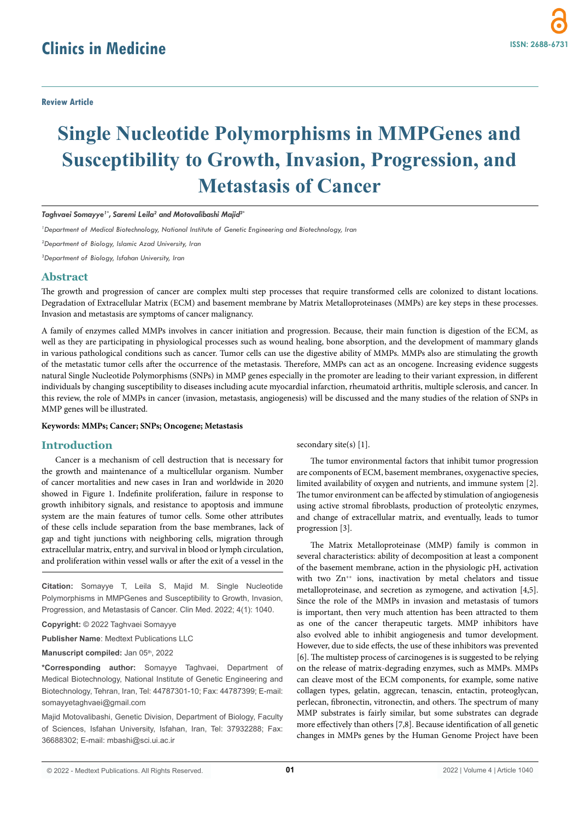# **Single Nucleotide Polymorphisms in MMPGenes and Susceptibility to Growth, Invasion, Progression, and Metastasis of Cancer**

*Taghvaei Somayye1\*, Saremi Leila2 and Motovalibashi Majid3\**

*1 Department of Medical Biotechnology, National Institute of Genetic Engineering and Biotechnology, Iran*

*2 Department of Biology, Islamic Azad University, Iran*

*3 Department of Biology, Isfahan University, Iran*

# **Abstract**

The growth and progression of cancer are complex multi step processes that require transformed cells are colonized to distant locations. Degradation of Extracellular Matrix (ECM) and basement membrane by Matrix Metalloproteinases (MMPs) are key steps in these processes. Invasion and metastasis are symptoms of cancer malignancy.

A family of enzymes called MMPs involves in cancer initiation and progression. Because, their main function is digestion of the ECM, as well as they are participating in physiological processes such as wound healing, bone absorption, and the development of mammary glands in various pathological conditions such as cancer. Tumor cells can use the digestive ability of MMPs. MMPs also are stimulating the growth of the metastatic tumor cells after the occurrence of the metastasis. Therefore, MMPs can act as an oncogene. Increasing evidence suggests natural Single Nucleotide Polymorphisms (SNPs) in MMP genes especially in the promoter are leading to their variant expression, in different individuals by changing susceptibility to diseases including acute myocardial infarction, rheumatoid arthritis, multiple sclerosis, and cancer. In this review, the role of MMPs in cancer (invasion, metastasis, angiogenesis) will be discussed and the many studies of the relation of SNPs in MMP genes will be illustrated.

#### **Keywords: MMPs; Cancer; SNPs; Oncogene; Metastasis**

# **Introduction**

Cancer is a mechanism of cell destruction that is necessary for the growth and maintenance of a multicellular organism. Number of cancer mortalities and new cases in Iran and worldwide in 2020 showed in Figure 1. Indefinite proliferation, failure in response to growth inhibitory signals, and resistance to apoptosis and immune system are the main features of tumor cells. Some other attributes of these cells include separation from the base membranes, lack of gap and tight junctions with neighboring cells, migration through extracellular matrix, entry, and survival in blood or lymph circulation, and proliferation within vessel walls or after the exit of a vessel in the

**Citation:** Somayye T, Leila S, Majid M. Single Nucleotide Polymorphisms in MMPGenes and Susceptibility to Growth, Invasion, Progression, and Metastasis of Cancer. Clin Med. 2022; 4(1): 1040.

**Copyright:** © 2022 Taghvaei Somayye

**Publisher Name**: Medtext Publications LLC

Manuscript compiled: Jan 05<sup>th</sup>, 2022

**\*Corresponding author:** Somayye Taghvaei, Department of Medical Biotechnology, National Institute of Genetic Engineering and Biotechnology, Tehran, Iran, Tel: 44787301-10; Fax: 44787399; E-mail: somayyetaghvaei@gmail.com

Majid Motovalibashi, Genetic Division, Department of Biology, Faculty of Sciences, Isfahan University, Isfahan, Iran, Tel: 37932288; Fax: 36688302; E-mail: mbashi@sci.ui.ac.ir

secondary site(s) [1].

The tumor environmental factors that inhibit tumor progression are components of ECM, basement membranes, oxygenactive species, limited availability of oxygen and nutrients, and immune system [2]. The tumor environment can be affected by stimulation of angiogenesis using active stromal fibroblasts, production of proteolytic enzymes, and change of extracellular matrix, and eventually, leads to tumor progression [3].

The Matrix Metalloproteinase (MMP) family is common in several characteristics: ability of decomposition at least a component of the basement membrane, action in the physiologic pH, activation with two Zn<sup>++</sup> ions, inactivation by metal chelators and tissue metalloproteinase, and secretion as zymogene, and activation [4,5]. Since the role of the MMPs in invasion and metastasis of tumors is important, then very much attention has been attracted to them as one of the cancer therapeutic targets. MMP inhibitors have also evolved able to inhibit angiogenesis and tumor development. However, due to side effects, the use of these inhibitors was prevented [6]. The multistep process of carcinogenes is is suggested to be relying on the release of matrix-degrading enzymes, such as MMPs. MMPs can cleave most of the ECM components, for example, some native collagen types, gelatin, aggrecan, tenascin, entactin, proteoglycan, perlecan, fibronectin, vitronectin, and others. The spectrum of many MMP substrates is fairly similar, but some substrates can degrade more effectively than others [7,8]. Because identification of all genetic changes in MMPs genes by the Human Genome Project have been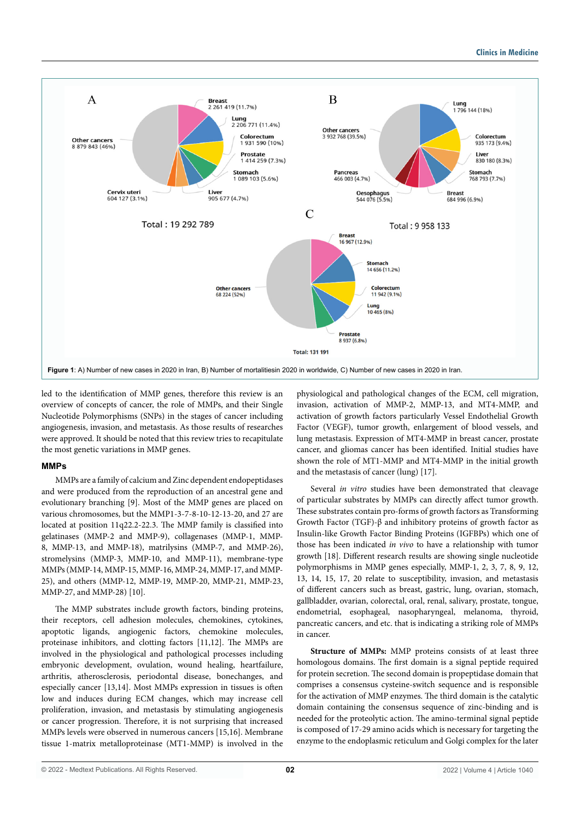

led to the identification of MMP genes, therefore this review is an overview of concepts of cancer, the role of MMPs, and their Single Nucleotide Polymorphisms (SNPs) in the stages of cancer including angiogenesis, invasion, and metastasis. As those results of researches were approved. It should be noted that this review tries to recapitulate the most genetic variations in MMP genes.

## **MMPs**

MMPs are a family of calcium and Zinc dependent endopeptidases and were produced from the reproduction of an ancestral gene and evolutionary branching [9]. Most of the MMP genes are placed on various chromosomes, but the MMP1-3-7-8-10-12-13-20, and 27 are located at position 11q22.2-22.3. The MMP family is classified into gelatinases (MMP-2 and MMP-9), collagenases (MMP-1, MMP-8, MMP-13, and MMP-18), matrilysins (MMP-7, and MMP-26), stromelysins (MMP-3, MMP-10, and MMP-11), membrane-type MMPs (MMP-14, MMP-15, MMP-16, MMP-24, MMP-17, and MMP-25), and others (MMP-12, MMP-19, MMP-20, MMP-21, MMP-23, MMP-27, and MMP-28) [10].

The MMP substrates include growth factors, binding proteins, their receptors, cell adhesion molecules, chemokines, cytokines, apoptotic ligands, angiogenic factors, chemokine molecules, proteinase inhibitors, and clotting factors [11,12]. The MMPs are involved in the physiological and pathological processes including embryonic development, ovulation, wound healing, heartfailure, arthritis, atherosclerosis, periodontal disease, bonechanges, and especially cancer [13,14]. Most MMPs expression in tissues is often low and induces during ECM changes, which may increase cell proliferation, invasion, and metastasis by stimulating angiogenesis or cancer progression. Therefore, it is not surprising that increased MMPs levels were observed in numerous cancers [15,16]. Membrane tissue 1-matrix metalloproteinase (MT1-MMP) is involved in the

physiological and pathological changes of the ECM, cell migration, invasion, activation of MMP-2, MMP-13, and MT4-MMP, and activation of growth factors particularly Vessel Endothelial Growth Factor (VEGF), tumor growth, enlargement of blood vessels, and lung metastasis. Expression of MT4-MMP in breast cancer, prostate cancer, and gliomas cancer has been identified. Initial studies have shown the role of MT1-MMP and MT4-MMP in the initial growth and the metastasis of cancer (lung) [17].

Several *in vitro* studies have been demonstrated that cleavage of particular substrates by MMPs can directly affect tumor growth. These substrates contain pro-forms of growth factors as Transforming Growth Factor (TGF)-β and inhibitory proteins of growth factor as Insulin-like Growth Factor Binding Proteins (IGFBPs) which one of those has been indicated *in vivo* to have a relationship with tumor growth [18]. Different research results are showing single nucleotide polymorphisms in MMP genes especially, MMP-1, 2, 3, 7, 8, 9, 12, 13, 14, 15, 17, 20 relate to susceptibility, invasion, and metastasis of different cancers such as breast, gastric, lung, ovarian, stomach, gallbladder, ovarian, colorectal, oral, renal, salivary, prostate, tongue, endometrial, esophageal, nasopharyngeal, melanoma, thyroid, pancreatic cancers, and etc. that is indicating a striking role of MMPs in cancer.

**Structure of MMPs:** MMP proteins consists of at least three homologous domains. The first domain is a signal peptide required for protein secretion. The second domain is propeptidase domain that comprises a consensus cysteine-switch sequence and is responsible for the activation of MMP enzymes. The third domain is the catalytic domain containing the consensus sequence of zinc-binding and is needed for the proteolytic action. The amino-terminal signal peptide is composed of 17-29 amino acids which is necessary for targeting the enzyme to the endoplasmic reticulum and Golgi complex for the later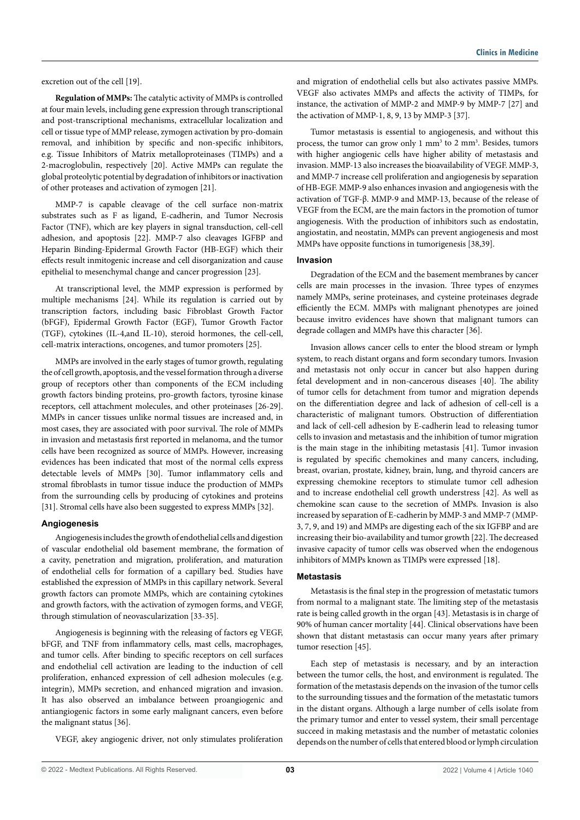excretion out of the cell [19].

**Regulation of MMPs:** The catalytic activity of MMPs is controlled at four main levels, including gene expression through transcriptional and post-transcriptional mechanisms, extracellular localization and cell or tissue type of MMP release, zymogen activation by pro-domain removal, and inhibition by specific and non-specific inhibitors, e.g. Tissue Inhibitors of Matrix metalloproteinases (TIMPs) and a 2-macroglobulin, respectively [20]. Active MMPs can regulate the global proteolytic potential by degradation of inhibitors or inactivation of other proteases and activation of zymogen [21].

MMP-7 is capable cleavage of the cell surface non-matrix substrates such as F as ligand, E-cadherin, and Tumor Necrosis Factor (TNF), which are key players in signal transduction, cell-cell adhesion, and apoptosis [22]. MMP-7 also cleavages IGFBP and Heparin Binding-Epidermal Growth Factor (HB-EGF) which their effects result inmitogenic increase and cell disorganization and cause epithelial to mesenchymal change and cancer progression [23].

At transcriptional level, the MMP expression is performed by multiple mechanisms [24]. While its regulation is carried out by transcription factors, including basic Fibroblast Growth Factor (bFGF), Epidermal Growth Factor (EGF), Tumor Growth Factor (TGF), cytokines (IL-4,and IL-10), steroid hormones, the cell-cell, cell-matrix interactions, oncogenes, and tumor promoters [25].

MMPs are involved in the early stages of tumor growth, regulating the of cell growth, apoptosis, and the vessel formation through a diverse group of receptors other than components of the ECM including growth factors binding proteins, pro-growth factors, tyrosine kinase receptors, cell attachment molecules, and other proteinases [26-29]. MMPs in cancer tissues unlike normal tissues are increased and, in most cases, they are associated with poor survival. The role of MMPs in invasion and metastasis first reported in melanoma, and the tumor cells have been recognized as source of MMPs. However, increasing evidences has been indicated that most of the normal cells express detectable levels of MMPs [30]. Tumor inflammatory cells and stromal fibroblasts in tumor tissue induce the production of MMPs from the surrounding cells by producing of cytokines and proteins [31]. Stromal cells have also been suggested to express MMPs [32].

#### **Angiogenesis**

Angiogenesis includes the growth of endothelial cells and digestion of vascular endothelial old basement membrane, the formation of a cavity, penetration and migration, proliferation, and maturation of endothelial cells for formation of a capillary bed. Studies have established the expression of MMPs in this capillary network. Several growth factors can promote MMPs, which are containing cytokines and growth factors, with the activation of zymogen forms, and VEGF, through stimulation of neovascularization [33-35].

Angiogenesis is beginning with the releasing of factors eg VEGF, bFGF, and TNF from inflammatory cells, mast cells, macrophages, and tumor cells. After binding to specific receptors on cell surfaces and endothelial cell activation are leading to the induction of cell proliferation, enhanced expression of cell adhesion molecules (e.g. integrin), MMPs secretion, and enhanced migration and invasion. It has also observed an imbalance between proangiogenic and antiangiogenic factors in some early malignant cancers, even before the malignant status [36].

VEGF, akey angiogenic driver, not only stimulates proliferation

and migration of endothelial cells but also activates passive MMPs. VEGF also activates MMPs and affects the activity of TIMPs, for instance, the activation of MMP-2 and MMP-9 by MMP-7 [27] and the activation of MMP-1, 8, 9, 13 by MMP-3 [37].

Tumor metastasis is essential to angiogenesis, and without this process, the tumor can grow only 1 mm<sup>3</sup> to 2 mm<sup>3</sup>. Besides, tumors with higher angiogenic cells have higher ability of metastasis and invasion. MMP-13 also increases the bioavailability of VEGF. MMP-3, and MMP-7 increase cell proliferation and angiogenesis by separation of HB-EGF. MMP-9 also enhances invasion and angiogenesis with the activation of TGF-β. MMP-9 and MMP-13, because of the release of VEGF from the ECM, are the main factors in the promotion of tumor angiogenesis. With the production of inhibitors such as endostatin, angiostatin, and neostatin, MMPs can prevent angiogenesis and most MMPs have opposite functions in tumorigenesis [38,39].

#### **Invasion**

Degradation of the ECM and the basement membranes by cancer cells are main processes in the invasion. Three types of enzymes namely MMPs, serine proteinases, and cysteine proteinases degrade efficiently the ECM. MMPs with malignant phenotypes are joined because invitro evidences have shown that malignant tumors can degrade collagen and MMPs have this character [36].

Invasion allows cancer cells to enter the blood stream or lymph system, to reach distant organs and form secondary tumors. Invasion and metastasis not only occur in cancer but also happen during fetal development and in non-cancerous diseases [40]. The ability of tumor cells for detachment from tumor and migration depends on the differentiation degree and lack of adhesion of cell-cell is a characteristic of malignant tumors. Obstruction of differentiation and lack of cell-cell adhesion by E-cadherin lead to releasing tumor cells to invasion and metastasis and the inhibition of tumor migration is the main stage in the inhibiting metastasis [41]. Tumor invasion is regulated by specific chemokines and many cancers, including, breast, ovarian, prostate, kidney, brain, lung, and thyroid cancers are expressing chemokine receptors to stimulate tumor cell adhesion and to increase endothelial cell growth understress [42]. As well as chemokine scan cause to the secretion of MMPs. Invasion is also increased by separation of E-cadherin by MMP-3 and MMP-7 (MMP-3, 7, 9, and 19) and MMPs are digesting each of the six IGFBP and are increasing their bio-availability and tumor growth [22]. The decreased invasive capacity of tumor cells was observed when the endogenous inhibitors of MMPs known as TIMPs were expressed [18].

#### **Metastasis**

Metastasis is the final step in the progression of metastatic tumors from normal to a malignant state. The limiting step of the metastasis rate is being called growth in the organ [43]. Metastasis is in charge of 90% of human cancer mortality [44]. Clinical observations have been shown that distant metastasis can occur many years after primary tumor resection [45].

Each step of metastasis is necessary, and by an interaction between the tumor cells, the host, and environment is regulated. The formation of the metastasis depends on the invasion of the tumor cells to the surrounding tissues and the formation of the metastatic tumors in the distant organs. Although a large number of cells isolate from the primary tumor and enter to vessel system, their small percentage succeed in making metastasis and the number of metastatic colonies depends on the number of cells that entered blood or lymph circulation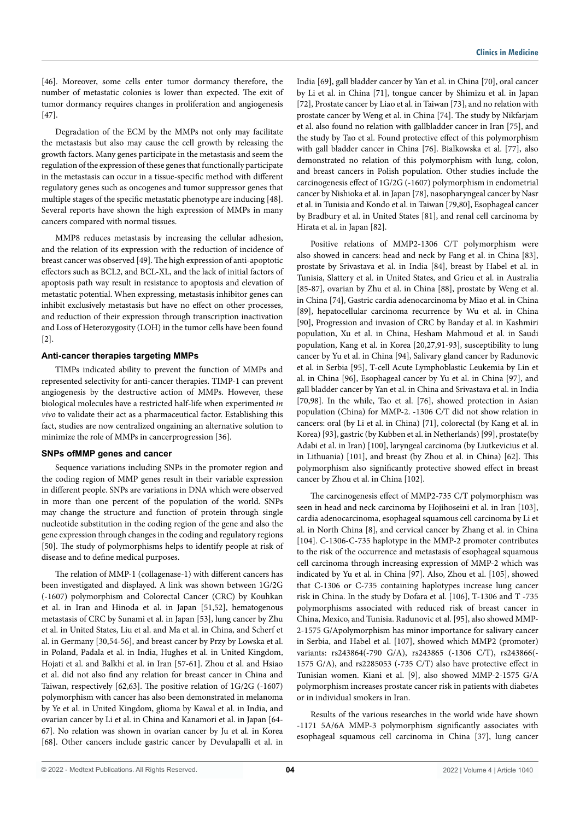[46]. Moreover, some cells enter tumor dormancy therefore, the number of metastatic colonies is lower than expected. The exit of tumor dormancy requires changes in proliferation and angiogenesis [47].

Degradation of the ECM by the MMPs not only may facilitate the metastasis but also may cause the cell growth by releasing the growth factors. Many genes participate in the metastasis and seem the regulation of the expression of these genes that functionally participate in the metastasis can occur in a tissue-specific method with different regulatory genes such as oncogenes and tumor suppressor genes that multiple stages of the specific metastatic phenotype are inducing [48]. Several reports have shown the high expression of MMPs in many cancers compared with normal tissues.

MMP8 reduces metastasis by increasing the cellular adhesion, and the relation of its expression with the reduction of incidence of breast cancer was observed [49]. The high expression of anti-apoptotic effectors such as BCL2, and BCL-XL, and the lack of initial factors of apoptosis path way result in resistance to apoptosis and elevation of metastatic potential. When expressing, metastasis inhibitor genes can inhibit exclusively metastasis but have no effect on other processes, and reduction of their expression through transcription inactivation and Loss of Heterozygosity (LOH) in the tumor cells have been found [2].

## **Anti-cancer therapies targeting MMPs**

TIMPs indicated ability to prevent the function of MMPs and represented selectivity for anti-cancer therapies. TIMP-1 can prevent angiogenesis by the destructive action of MMPs. However, these biological molecules have a restricted half-life when experimented *in vivo* to validate their act as a pharmaceutical factor. Establishing this fact, studies are now centralized ongaining an alternative solution to minimize the role of MMPs in cancerprogression [36].

## **SNPs ofMMP genes and cancer**

Sequence variations including SNPs in the promoter region and the coding region of MMP genes result in their variable expression in different people. SNPs are variations in DNA which were observed in more than one percent of the population of the world. SNPs may change the structure and function of protein through single nucleotide substitution in the coding region of the gene and also the gene expression through changes in the coding and regulatory regions [50]. The study of polymorphisms helps to identify people at risk of disease and to define medical purposes.

The relation of MMP-1 (collagenase-1) with different cancers has been investigated and displayed. A link was shown between 1G/2G (-1607) polymorphism and Colorectal Cancer (CRC) by Kouhkan et al. in Iran and Hinoda et al. in Japan [51,52], hematogenous metastasis of CRC by Sunami et al. in Japan [53], lung cancer by Zhu et al. in United States, Liu et al. and Ma et al. in China, and Scherf et al. in Germany [30,54-56], and breast cancer by Przy by Lowska et al. in Poland, Padala et al. in India, Hughes et al. in United Kingdom, Hojati et al. and Balkhi et al. in Iran [57-61]. Zhou et al. and Hsiao et al. did not also find any relation for breast cancer in China and Taiwan, respectively [62,63]. The positive relation of 1G/2G (-1607) polymorphism with cancer has also been demonstrated in melanoma by Ye et al. in United Kingdom, glioma by Kawal et al. in India, and ovarian cancer by Li et al. in China and Kanamori et al. in Japan [64- 67]. No relation was shown in ovarian cancer by Ju et al. in Korea [68]. Other cancers include gastric cancer by Devulapalli et al. in

India [69], gall bladder cancer by Yan et al. in China [70], oral cancer by Li et al. in China [71], tongue cancer by Shimizu et al. in Japan [72], Prostate cancer by Liao et al. in Taiwan [73], and no relation with prostate cancer by Weng et al. in China [74]. The study by Nikfarjam et al. also found no relation with gallbladder cancer in Iran [75], and the study by Tao et al. Found protective effect of this polymorphism with gall bladder cancer in China [76]. Bialkowska et al. [77], also demonstrated no relation of this polymorphism with lung, colon, and breast cancers in Polish population. Other studies include the carcinogenesis effect of 1G/2G (-1607) polymorphism in endometrial cancer by Nishioka et al. in Japan [78], nasopharyngeal cancer by Nasr et al. in Tunisia and Kondo et al. in Taiwan [79,80], Esophageal cancer by Bradbury et al. in United States [81], and renal cell carcinoma by Hirata et al. in Japan [82].

Positive relations of MMP2-1306 C/T polymorphism were also showed in cancers: head and neck by Fang et al. in China [83], prostate by Srivastava et al. in India [84], breast by Habel et al. in Tunisia, Slattery et al. in United States, and Grieu et al. in Australia [85-87], ovarian by Zhu et al. in China [88], prostate by Weng et al. in China [74], Gastric cardia adenocarcinoma by Miao et al. in China [89], hepatocellular carcinoma recurrence by Wu et al. in China [90], Progression and invasion of CRC by Banday et al. in Kashmiri population, Xu et al. in China, Hesham Mahmoud et al. in Saudi population, Kang et al. in Korea [20,27,91-93], susceptibility to lung cancer by Yu et al. in China [94], Salivary gland cancer by Radunovic et al. in Serbia [95], T-cell Acute Lymphoblastic Leukemia by Lin et al. in China [96], Esophageal cancer by Yu et al. in China [97], and gall bladder cancer by Yan et al. in China and Srivastava et al. in India [70,98]. In the while, Tao et al. [76], showed protection in Asian population (China) for MMP-2. -1306 C/T did not show relation in cancers: oral (by Li et al. in China) [71], colorectal (by Kang et al. in Korea) [93], gastric (by Kubben et al. in Netherlands) [99], prostate(by Adabi et al. in Iran) [100], laryngeal carcinoma (by Liutkevicius et al. in Lithuania) [101], and breast (by Zhou et al. in China) [62]. This polymorphism also significantly protective showed effect in breast cancer by Zhou et al. in China [102].

The carcinogenesis effect of MMP2-735 C/T polymorphism was seen in head and neck carcinoma by Hojihoseini et al. in Iran [103], cardia adenocarcinoma, esophageal squamous cell carcinoma by Li et al. in North China [8], and cervical cancer by Zhang et al. in China [104]. C-1306-C-735 haplotype in the MMP-2 promoter contributes to the risk of the occurrence and metastasis of esophageal squamous cell carcinoma through increasing expression of MMP-2 which was indicated by Yu et al. in China [97]. Also, Zhou et al. [105], showed that C-1306 or C-735 containing haplotypes increase lung cancer risk in China. In the study by Dofara et al. [106], T-1306 and T -735 polymorphisms associated with reduced risk of breast cancer in China, Mexico, and Tunisia. Radunovic et al. [95], also showed MMP-2-1575 G/Apolymorphism has minor importance for salivary cancer in Serbia, and Habel et al. [107], showed which MMP2 (promoter) variants: rs243864(-790 G/A), rs243865 (-1306 C/T), rs243866(- 1575 G/A), and rs2285053 (-735 C/T) also have protective effect in Tunisian women. Kiani et al. [9], also showed MMP-2-1575 G/A polymorphism increases prostate cancer risk in patients with diabetes or in individual smokers in Iran.

Results of the various researches in the world wide have shown -1171 5A/6A MMP-3 polymorphism significantly associates with esophageal squamous cell carcinoma in China [37], lung cancer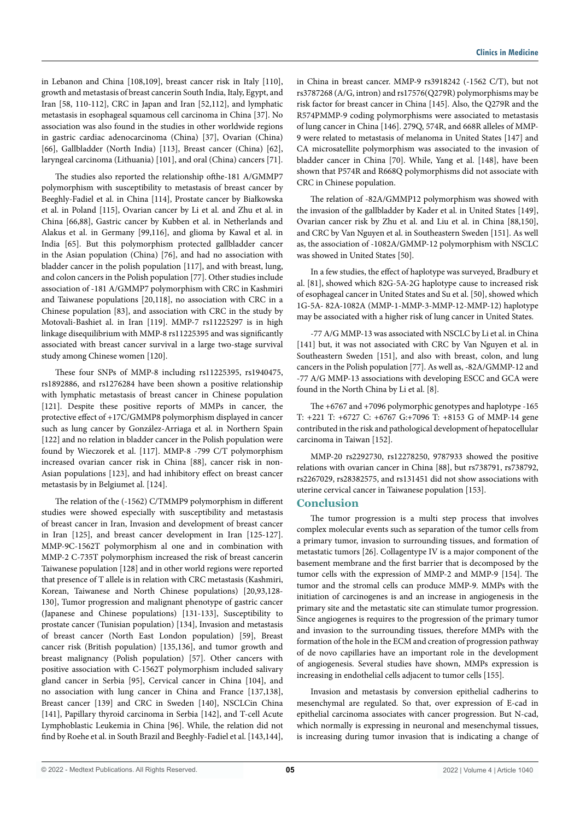in Lebanon and China [108,109], breast cancer risk in Italy [110], growth and metastasis of breast cancerin South India, Italy, Egypt, and Iran [58, 110-112], CRC in Japan and Iran [52,112], and lymphatic metastasis in esophageal squamous cell carcinoma in China [37]. No association was also found in the studies in other worldwide regions in gastric cardiac adenocarcinoma (China) [37], Ovarian (China) [66], Gallbladder (North India) [113], Breast cancer (China) [62], laryngeal carcinoma (Lithuania) [101], and oral (China) cancers [71].

The studies also reported the relationship ofthe-181 A/GMMP7 polymorphism with susceptibility to metastasis of breast cancer by Beeghly-Fadiel et al. in China [114], Prostate cancer by Białkowska et al. in Poland [115], Ovarian cancer by Li et al. and Zhu et al. in China [66,88], Gastric cancer by Kubben et al. in Netherlands and Alakus et al. in Germany [99,116], and glioma by Kawal et al. in India [65]. But this polymorphism protected gallbladder cancer in the Asian population (China) [76], and had no association with bladder cancer in the polish population [117], and with breast, lung, and colon cancers in the Polish population [77]. Other studies include association of -181 A/GMMP7 polymorphism with CRC in Kashmiri and Taiwanese populations [20,118], no association with CRC in a Chinese population [83], and association with CRC in the study by Motovali-Bashiet al. in Iran [119]. MMP-7 rs11225297 is in high linkage disequilibrium with MMP-8 rs11225395 and was significantly associated with breast cancer survival in a large two-stage survival study among Chinese women [120].

These four SNPs of MMP-8 including rs11225395, rs1940475, rs1892886, and rs1276284 have been shown a positive relationship with lymphatic metastasis of breast cancer in Chinese population [121]. Despite these positive reports of MMPs in cancer, the protective effect of +17C/GMMP8 polymorphism displayed in cancer such as lung cancer by González-Arriaga et al. in Northern Spain [122] and no relation in bladder cancer in the Polish population were found by Wieczorek et al. [117]. MMP-8 -799 C/T polymorphism increased ovarian cancer risk in China [88], cancer risk in non-Asian populations [123], and had inhibitory effect on breast cancer metastasis by in Belgiumet al. [124].

The relation of the (-1562) C/TMMP9 polymorphism in different studies were showed especially with susceptibility and metastasis of breast cancer in Iran, Invasion and development of breast cancer in Iran [125], and breast cancer development in Iran [125-127]. MMP-9C-1562T polymorphism al one and in combination with MMP-2 C-735T polymorphism increased the risk of breast cancerin Taiwanese population [128] and in other world regions were reported that presence of T allele is in relation with CRC metastasis (Kashmiri, Korean, Taiwanese and North Chinese populations) [20,93,128- 130], Tumor progression and malignant phenotype of gastric cancer (Japanese and Chinese populations) [131-133], Susceptibility to prostate cancer (Tunisian population) [134], Invasion and metastasis of breast cancer (North East London population) [59], Breast cancer risk (British population) [135,136], and tumor growth and breast malignancy (Polish population) [57]. Other cancers with positive association with C-1562T polymorphism included salivary gland cancer in Serbia [95], Cervical cancer in China [104], and no association with lung cancer in China and France [137,138], Breast cancer [139] and CRC in Sweden [140], NSCLCin China [141], Papillary thyroid carcinoma in Serbia [142], and T-cell Acute Lymphoblastic Leukemia in China [96]. While, the relation did not find by Roehe et al. in South Brazil and Beeghly-Fadiel et al. [143,144], in China in breast cancer. MMP-9 rs3918242 (-1562 C/T), but not rs3787268 (A/G, intron) and rs17576(Q279R) polymorphisms may be risk factor for breast cancer in China [145]. Also, the Q279R and the R574PMMP-9 coding polymorphisms were associated to metastasis of lung cancer in China [146]. 279Q, 574R, and 668R alleles of MMP-9 were related to metastasis of melanoma in United States [147] and CA microsatellite polymorphism was associated to the invasion of bladder cancer in China [70]. While, Yang et al. [148], have been shown that P574R and R668Q polymorphisms did not associate with CRC in Chinese population.

The relation of -82A/GMMP12 polymorphism was showed with the invasion of the gallbladder by Kader et al. in United States [149], Ovarian cancer risk by Zhu et al. and Liu et al. in China [88,150], and CRC by Van Nguyen et al. in Southeastern Sweden [151]. As well as, the association of -1082A/GMMP-12 polymorphism with NSCLC was showed in United States [50].

In a few studies, the effect of haplotype was surveyed, Bradbury et al. [81], showed which 82G-5A-2G haplotype cause to increased risk of esophageal cancer in United States and Su et al. [50], showed which 1G-5A- 82A-1082A (MMP-1-MMP-3-MMP-12-MMP-12) haplotype may be associated with a higher risk of lung cancer in United States.

-77 A/G MMP-13 was associated with NSCLC by Li et al. in China [141] but, it was not associated with CRC by Van Nguyen et al. in Southeastern Sweden [151], and also with breast, colon, and lung cancers in the Polish population [77]. As well as, -82A/GMMP-12 and -77 A/G MMP-13 associations with developing ESCC and GCA were found in the North China by Li et al. [8].

The +6767 and +7096 polymorphic genotypes and haplotype -165 T: +221 T: +6727 C: +6767 G:+7096 T: +8153 G of MMP-14 gene contributed in the risk and pathological development of hepatocellular carcinoma in Taiwan [152].

MMP-20 rs2292730, rs12278250, 9787933 showed the positive relations with ovarian cancer in China [88], but rs738791, rs738792, rs2267029, rs28382575, and rs131451 did not show associations with uterine cervical cancer in Taiwanese population [153].

# **Conclusion**

The tumor progression is a multi step process that involves complex molecular events such as separation of the tumor cells from a primary tumor, invasion to surrounding tissues, and formation of metastatic tumors [26]. Collagentype IV is a major component of the basement membrane and the first barrier that is decomposed by the tumor cells with the expression of MMP-2 and MMP-9 [154]. The tumor and the stromal cells can produce MMP-9. MMPs with the initiation of carcinogenes is and an increase in angiogenesis in the primary site and the metastatic site can stimulate tumor progression. Since angiogenes is requires to the progression of the primary tumor and invasion to the surrounding tissues, therefore MMPs with the formation of the hole in the ECM and creation of progression pathway of de novo capillaries have an important role in the development of angiogenesis. Several studies have shown, MMPs expression is increasing in endothelial cells adjacent to tumor cells [155].

Invasion and metastasis by conversion epithelial cadherins to mesenchymal are regulated. So that, over expression of E-cad in epithelial carcinoma associates with cancer progression. But N-cad, which normally is expressing in neuronal and mesenchymal tissues, is increasing during tumor invasion that is indicating a change of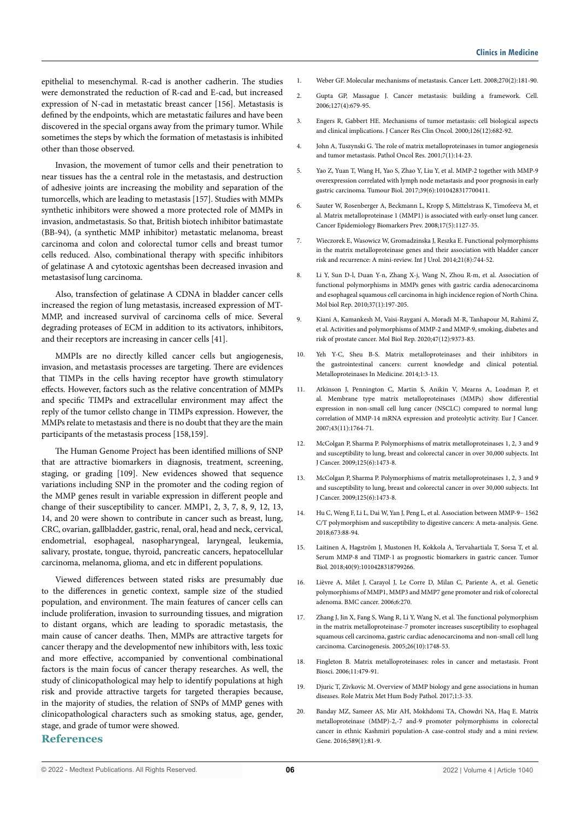epithelial to mesenchymal. R-cad is another cadherin. The studies were demonstrated the reduction of R-cad and E-cad, but increased expression of N-cad in metastatic breast cancer [156]. Metastasis is defined by the endpoints, which are metastatic failures and have been discovered in the special organs away from the primary tumor. While sometimes the steps by which the formation of metastasis is inhibited other than those observed.

Invasion, the movement of tumor cells and their penetration to near tissues has the a central role in the metastasis, and destruction of adhesive joints are increasing the mobility and separation of the tumorcells, which are leading to metastasis [157]. Studies with MMPs synthetic inhibitors were showed a more protected role of MMPs in invasion, andmetastasis. So that, British biotech inhibitor batimastate (BB-94), (a synthetic MMP inhibitor) metastatic melanoma, breast carcinoma and colon and colorectal tumor cells and breast tumor cells reduced. Also, combinational therapy with specific inhibitors of gelatinase A and cytotoxic agentshas been decreased invasion and metastasisof lung carcinoma.

Also, transfection of gelatinase A CDNA in bladder cancer cells increased the region of lung metastasis, increased expression of MT-MMP, and increased survival of carcinoma cells of mice. Several degrading proteases of ECM in addition to its activators, inhibitors, and their receptors are increasing in cancer cells [41].

MMPIs are no directly killed cancer cells but angiogenesis, invasion, and metastasis processes are targeting. There are evidences that TIMPs in the cells having receptor have growth stimulatory effects. However, factors such as the relative concentration of MMPs and specific TIMPs and extracellular environment may affect the reply of the tumor cellsto change in TIMPs expression. However, the MMPs relate to metastasis and there is no doubt that they are the main participants of the metastasis process [158,159].

The Human Genome Project has been identified millions of SNP that are attractive biomarkers in diagnosis, treatment, screening, staging, or grading [109]. New evidences showed that sequence variations including SNP in the promoter and the coding region of the MMP genes result in variable expression in different people and change of their susceptibility to cancer. MMP1, 2, 3, 7, 8, 9, 12, 13, 14, and 20 were shown to contribute in cancer such as breast, lung, CRC, ovarian, gallbladder, gastric, renal, oral, head and neck, cervical, endometrial, esophageal, nasopharyngeal, laryngeal, leukemia, salivary, prostate, tongue, thyroid, pancreatic cancers, hepatocellular carcinoma, melanoma, glioma, and etc in different populations.

Viewed differences between stated risks are presumably due to the differences in genetic context, sample size of the studied population, and environment. The main features of cancer cells can include proliferation, invasion to surrounding tissues, and migration to distant organs, which are leading to sporadic metastasis, the main cause of cancer deaths. Then, MMPs are attractive targets for cancer therapy and the developmentof new inhibitors with, less toxic and more effective, accompanied by conventional combinational factors is the main focus of cancer therapy researches. As well, the study of clinicopathological may help to identify populations at high risk and provide attractive targets for targeted therapies because, in the majority of studies, the relation of SNPs of MMP genes with clinicopathological characters such as smoking status, age, gender, stage, and grade of tumor were showed.

# **References**

- 1. Weber GF. Molecular mechanisms of metastasis. Cancer Lett. 2008;270(2):181-90.
- 2. Gupta GP, Massague J. Cancer metastasis: building a framework. Cell. 2006;127(4):679-95.
- 3. Engers R, Gabbert HE. Mechanisms of tumor metastasis: cell biological aspects and clinical implications. J Cancer Res Clin Oncol. 2000;126(12):682-92.
- 4. John A, Tuszynski G. The role of matrix metalloproteinases in tumor angiogenesis and tumor metastasis. Pathol Oncol Res. 2001;7(1):14-23.
- 5. Yao Z, Yuan T, Wang H, Yao S, Zhao Y, Liu Y, et al. MMP-2 together with MMP-9 overexpression correlated with lymph node metastasis and poor prognosis in early gastric carcinoma. Tumour Biol. 2017;39(6):1010428317700411.
- 6. Sauter W, Rosenberger A, Beckmann L, Kropp S, Mittelstrass K, Timofeeva M, et al. Matrix metalloproteinase 1 (MMP1) is associated with early-onset lung cancer. Cancer Epidemiology Biomarkers Prev. 2008;17(5):1127-35.
- 7. Wieczorek E, Wasowicz W, Gromadzinska J, Reszka E. Functional polymorphisms in the matrix metalloproteinase genes and their association with bladder cancer risk and recurrence: A mini‐review. Int J Urol. 2014;21(8):744-52.
- 8. Li Y, Sun D-l, Duan Y-n, Zhang X-j, Wang N, Zhou R-m, et al. Association of functional polymorphisms in MMPs genes with gastric cardia adenocarcinoma and esophageal squamous cell carcinoma in high incidence region of North China. Mol biol Rep. 2010;37(1):197-205.
- 9. Kiani A, Kamankesh M, Vaisi-Raygani A, Moradi M-R, Tanhapour M, Rahimi Z, et al. Activities and polymorphisms of MMP-2 and MMP-9, smoking, diabetes and risk of prostate cancer. Mol Biol Rep. 2020;47(12):9373-83.
- 10. Yeh Y-C, Sheu B-S. Matrix metalloproteinases and their inhibitors in the gastrointestinal cancers: current knowledge and clinical potential. Metalloproteinases In Medicine. 2014;1:3-13.
- 11. Atkinson J, Pennington C, Martin S, Anikin V, Mearns A, Loadman P, et al. Membrane type matrix metalloproteinases (MMPs) show differential expression in non-small cell lung cancer (NSCLC) compared to normal lung: correlation of MMP-14 mRNA expression and proteolytic activity. Eur J Cancer. 2007;43(11):1764-71.
- 12. McColgan P, Sharma P. Polymorphisms of matrix metalloproteinases 1, 2, 3 and 9 and susceptibility to lung, breast and colorectal cancer in over 30,000 subjects. Int J Cancer. 2009;125(6):1473-8.
- 13. McColgan P, Sharma P. Polymorphisms of matrix metalloproteinases 1, 2, 3 and 9 and susceptibility to lung, breast and colorectal cancer in over 30,000 subjects. Int J Cancer. 2009;125(6):1473-8.
- 14. Hu C, Weng F, Li L, Dai W, Yan J, Peng L, et al. Association between MMP-9− 1562 C/T polymorphism and susceptibility to digestive cancers: A meta-analysis. Gene. 2018;673:88-94.
- 15. Laitinen A, Hagström J, Mustonen H, Kokkola A, Tervahartiala T, Sorsa T, et al. Serum MMP-8 and TIMP-1 as prognostic biomarkers in gastric cancer. Tumor Biol. 2018;40(9):1010428318799266.
- 16. Lièvre A, Milet J, Carayol J, Le Corre D, Milan C, Pariente A, et al. Genetic polymorphisms of MMP1, MMP3 and MMP7 gene promoter and risk of colorectal adenoma. BMC cancer. 2006;6:270.
- 17. Zhang J, Jin X, Fang S, Wang R, Li Y, Wang N, et al. The functional polymorphism in the matrix metalloproteinase-7 promoter increases susceptibility to esophageal squamous cell carcinoma, gastric cardiac adenocarcinoma and non-small cell lung carcinoma. Carcinogenesis. 2005;26(10):1748-53.
- 18. Fingleton B. Matrix metalloproteinases: roles in cancer and metastasis. Front Biosci. 2006;11:479-91.
- 19. Djuric T, Zivkovic M. Overview of MMP biology and gene associations in human diseases. Role Matrix Met Hum Body Pathol. 2017;1:3-33.
- 20. Banday MZ, Sameer AS, Mir AH, Mokhdomi TA, Chowdri NA, Haq E. Matrix metalloproteinase (MMP)-2,-7 and-9 promoter polymorphisms in colorectal cancer in ethnic Kashmiri population-A case-control study and a mini review. Gene. 2016;589(1):81-9.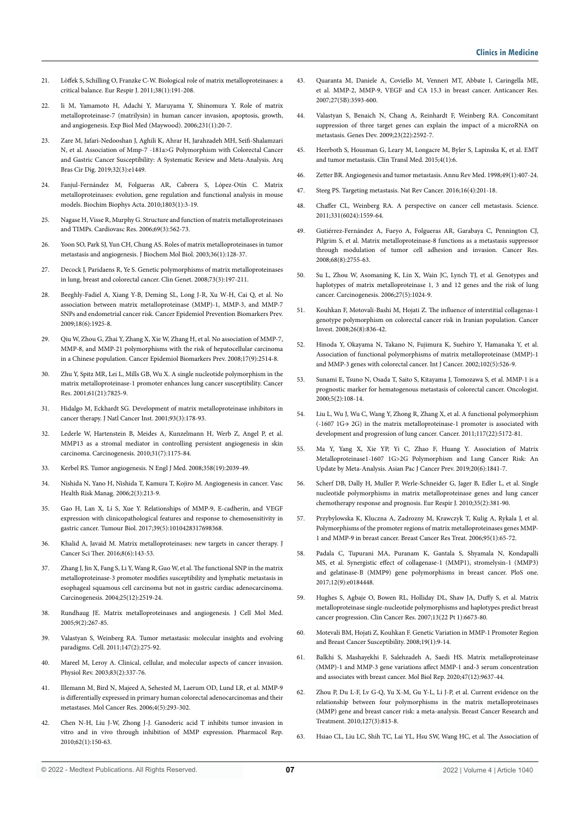- 21. Löffek S, Schilling O, Franzke C-W. Biological role of matrix metalloproteinases: a critical balance. Eur Respir J. 2011;38(1):191-208.
- 22. Ii M, Yamamoto H, Adachi Y, Maruyama Y, Shinomura Y. Role of matrix metalloproteinase-7 (matrilysin) in human cancer invasion, apoptosis, growth, and angiogenesis. Exp Biol Med (Maywood). 2006;231(1):20-7.
- 23. Zare M, Jafari-Nedooshan J, Aghili K, Ahrar H, Jarahzadeh MH, Seifi-Shalamzari N, et al. Association of Mmp-7 -181a>G Polymorphism with Colorectal Cancer and Gastric Cancer Susceptibility: A Systematic Review and Meta-Analysis. Arq Bras Cir Dig. 2019;32(3):e1449.
- 24. Fanjul-Fernández M, Folgueras AR, Cabrera S, López-Otín C. Matrix metalloproteinases: evolution, gene regulation and functional analysis in mouse models. Biochim Biophys Acta. 2010;1803(1):3-19.
- 25. Nagase H, Visse R, Murphy G. Structure and function of matrix metalloproteinases and TIMPs. Cardiovasc Res. 2006;69(3):562-73.
- 26. Yoon SO, Park SJ, Yun CH, Chung AS. Roles of matrix metalloproteinases in tumor metastasis and angiogenesis. J Biochem Mol Biol. 2003;36(1):128-37.
- 27. Decock J, Paridaens R, Ye S. Genetic polymorphisms of matrix metalloproteinases in lung, breast and colorectal cancer. Clin Genet. 2008;73(3):197-211.
- 28. Beeghly-Fadiel A, Xiang Y-B, Deming SL, Long J-R, Xu W-H, Cai Q, et al. No association between matrix metalloproteinase (MMP)-1, MMP-3, and MMP-7 SNPs and endometrial cancer risk. Cancer Epidemiol Prevention Biomarkers Prev. 2009;18(6):1925-8.
- 29. Qiu W, Zhou G, Zhai Y, Zhang X, Xie W, Zhang H, et al. No association of MMP-7, MMP-8, and MMP-21 polymorphisms with the risk of hepatocellular carcinoma in a Chinese population. Cancer Epidemiol Biomarkers Prev. 2008;17(9):2514-8.
- 30. Zhu Y, Spitz MR, Lei L, Mills GB, Wu X. A single nucleotide polymorphism in the matrix metalloproteinase-1 promoter enhances lung cancer susceptibility. Cancer Res. 2001;61(21):7825-9.
- 31. Hidalgo M, Eckhardt SG. Development of matrix metalloproteinase inhibitors in cancer therapy. J Natl Cancer Inst. 2001;93(3):178-93.
- 32. Lederle W, Hartenstein B, Meides A, Kunzelmann H, Werb Z, Angel P, et al. MMP13 as a stromal mediator in controlling persistent angiogenesis in skin carcinoma. Carcinogenesis. 2010;31(7):1175-84.
- 33. Kerbel RS. Tumor angiogenesis. N Engl J Med. 2008;358(19):2039-49.
- 34. Nishida N, Yano H, Nishida T, Kamura T, Kojiro M. Angiogenesis in cancer. Vasc Health Risk Manag. 2006;2(3):213-9.
- 35. Gao H, Lan X, Li S, Xue Y. Relationships of MMP-9, E-cadherin, and VEGF expression with clinicopathological features and response to chemosensitivity in gastric cancer. Tumour Biol. 2017;39(5):1010428317698368.
- 36. Khalid A, Javaid M. Matrix metalloproteinases: new targets in cancer therapy. J Cancer Sci Ther. 2016;8(6):143-53.
- 37. Zhang J, Jin X, Fang S, Li Y, Wang R, Guo W, et al. The functional SNP in the matrix metalloproteinase-3 promoter modifies susceptibility and lymphatic metastasis in esophageal squamous cell carcinoma but not in gastric cardiac adenocarcinoma. Carcinogenesis. 2004;25(12):2519-24.
- 38. Rundhaug JE. Matrix metalloproteinases and angiogenesis. J Cell Mol Med. 2005;9(2):267-85.
- 39. Valastyan S, Weinberg RA. Tumor metastasis: molecular insights and evolving paradigms. Cell. 2011;147(2):275-92.
- 40. Mareel M, Leroy A. Clinical, cellular, and molecular aspects of cancer invasion. Physiol Rev. 2003;83(2):337-76.
- 41. Illemann M, Bird N, Majeed A, Sehested M, Laerum OD, Lund LR, et al. MMP-9 is differentially expressed in primary human colorectal adenocarcinomas and their metastases. Mol Cancer Res. 2006;4(5):293-302.
- 42. Chen N-H, Liu J-W, Zhong J-J. Ganoderic acid T inhibits tumor invasion in vitro and in vivo through inhibition of MMP expression. Pharmacol Rep. 2010;62(1):150-63.
- 43. Quaranta M, Daniele A, Coviello M, Venneri MT, Abbate I, Caringella ME, et al. MMP-2, MMP-9, VEGF and CA 15.3 in breast cancer. Anticancer Res. 2007;27(5B):3593-600.
- 44. Valastyan S, Benaich N, Chang A, Reinhardt F, Weinberg RA. Concomitant suppression of three target genes can explain the impact of a microRNA on metastasis. Genes Dev. 2009;23(22):2592-7.
- 45. Heerboth S, Housman G, Leary M, Longacre M, Byler S, Lapinska K, et al. EMT and tumor metastasis. Clin Transl Med. 2015;4(1):6.
- 46. Zetter BR. Angiogenesis and tumor metastasis. Annu Rev Med. 1998;49(1):407-24.
- 47. Steeg PS. Targeting metastasis. Nat Rev Cancer. 2016;16(4):201-18.
- 48. Chaffer CL, Weinberg RA. A perspective on cancer cell metastasis. Science. 2011;331(6024):1559-64.
- 49. Gutiérrez-Fernández A, Fueyo A, Folgueras AR, Garabaya C, Pennington CJ, Pilgrim S, et al. Matrix metalloproteinase-8 functions as a metastasis suppressor through modulation of tumor cell adhesion and invasion. Cancer Res. 2008;68(8):2755-63.
- 50. Su L, Zhou W, Asomaning K, Lin X, Wain JC, Lynch TJ, et al. Genotypes and haplotypes of matrix metalloproteinase 1, 3 and 12 genes and the risk of lung cancer. Carcinogenesis. 2006;27(5):1024-9.
- 51. Kouhkan F, Motovali-Bashi M, Hojati Z. The influence of interstitial collagenas-1 genotype polymorphism on colorectal cancer risk in Iranian population. Cancer Invest. 2008;26(8):836-42.
- 52. Hinoda Y, Okayama N, Takano N, Fujimura K, Suehiro Y, Hamanaka Y, et al. Association of functional polymorphisms of matrix metalloproteinase (MMP)-1 and MMP-3 genes with colorectal cancer. Int J Cancer. 2002;102(5):526-9.
- 53. Sunami E, Tsuno N, Osada T, Saito S, Kitayama J, Tomozawa S, et al. MMP-1 is a prognostic marker for hematogenous metastasis of colorectal cancer. Oncologist. 2000;5(2):108-14.
- 54. Liu L, Wu J, Wu C, Wang Y, Zhong R, Zhang X, et al. A functional polymorphism (-1607 1G→ 2G) in the matrix metalloproteinase‐1 promoter is associated with development and progression of lung cancer. Cancer. 2011;117(22):5172-81.
- 55. Ma Y, Yang X, Xie YP, Yi C, Zhao F, Huang Y. Association of Matrix Metalloproteinase1-1607 1G>2G Polymorphism and Lung Cancer Risk: An Update by Meta-Analysis. Asian Pac J Cancer Prev. 2019;20(6):1841-7.
- 56. Scherf DB, Dally H, Muller P, Werle-Schneider G, Jager B, Edler L, et al. Single nucleotide polymorphisms in matrix metalloproteinase genes and lung cancer chemotherapy response and prognosis. Eur Respir J. 2010;35(2):381-90.
- 57. Przybylowska K, Kluczna A, Zadrozny M, Krawczyk T, Kulig A, Rykala J, et al. Polymorphisms of the promoter regions of matrix metalloproteinases genes MMP-1 and MMP-9 in breast cancer. Breast Cancer Res Treat. 2006;95(1):65-72.
- 58. Padala C, Tupurani MA, Puranam K, Gantala S, Shyamala N, Kondapalli MS, et al. Synergistic effect of collagenase-1 (MMP1), stromelysin-1 (MMP3) and gelatinase-B (MMP9) gene polymorphisms in breast cancer. PloS one. 2017;12(9):e0184448.
- 59. Hughes S, Agbaje O, Bowen RL, Holliday DL, Shaw JA, Duffy S, et al. Matrix metalloproteinase single-nucleotide polymorphisms and haplotypes predict breast cancer progression. Clin Cancer Res. 2007;13(22 Pt 1):6673-80.
- 60. Motevali BM, Hojati Z, Kouhkan F. Genetic Variation in MMP-1 Promoter Region and Breast Cancer Susceptibility. 2008;19(1):9-14.
- 61. Balkhi S, Mashayekhi F, Salehzadeh A, Saedi HS. Matrix metalloproteinase (MMP)-1 and MMP-3 gene variations affect MMP-1 and-3 serum concentration and associates with breast cancer. Mol Biol Rep. 2020;47(12):9637-44.
- 62. Zhou P, Du L-F, Lv G-Q, Yu X-M, Gu Y-L, Li J-P, et al. Current evidence on the relationship between four polymorphisms in the matrix metalloproteinases (MMP) gene and breast cancer risk: a meta-analysis. Breast Cancer Research and Treatment. 2010;127(3):813-8.
- 63. Hsiao CL, Liu LC, Shih TC, Lai YL, Hsu SW, Wang HC, et al. The Association of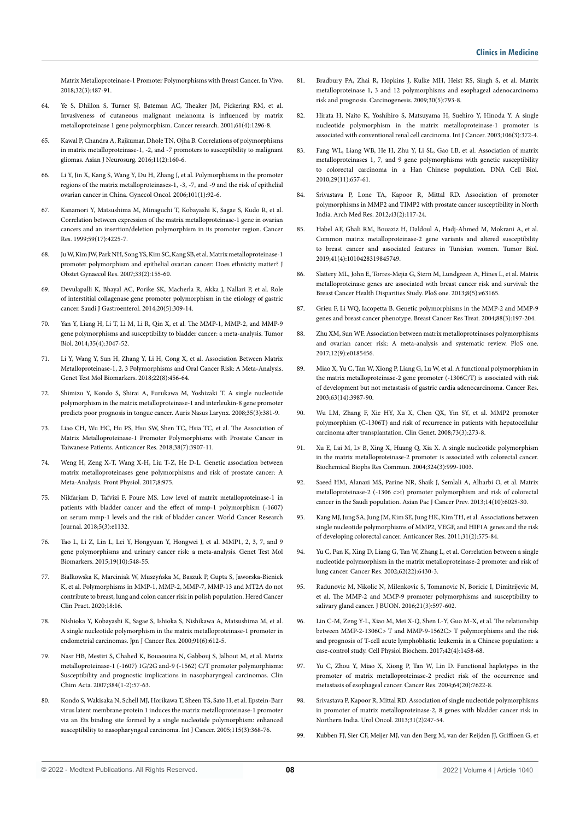Matrix Metalloproteinase-1 Promoter Polymorphisms with Breast Cancer. In Vivo. 2018;32(3):487-91.

- 64. Ye S, Dhillon S, Turner SJ, Bateman AC, Theaker JM, Pickering RM, et al. Invasiveness of cutaneous malignant melanoma is influenced by matrix metalloproteinase 1 gene polymorphism. Cancer research. 2001;61(4):1296-8.
- 65. Kawal P, Chandra A, Rajkumar, Dhole TN, Ojha B. Correlations of polymorphisms in matrix metalloproteinase-1, -2, and -7 promoters to susceptibility to malignant gliomas. Asian J Neurosurg. 2016;11(2):160-6.
- 66. Li Y, Jin X, Kang S, Wang Y, Du H, Zhang J, et al. Polymorphisms in the promoter regions of the matrix metalloproteinases-1, -3, -7, and -9 and the risk of epithelial ovarian cancer in China. Gynecol Oncol. 2006;101(1):92-6.
- 67. Kanamori Y, Matsushima M, Minaguchi T, Kobayashi K, Sagae S, Kudo R, et al. Correlation between expression of the matrix metalloproteinase-1 gene in ovarian cancers and an insertion/deletion polymorphism in its promoter region. Cancer Res. 1999;59(17):4225-7.
- 68. Ju W, Kim JW, Park NH, Song YS, Kim SC, Kang SB, et al. Matrix metalloproteinase‐1 promoter polymorphism and epithelial ovarian cancer: Does ethnicity matter? J Obstet Gynaecol Res. 2007;33(2):155-60.
- 69. Devulapalli K, Bhayal AC, Porike SK, Macherla R, Akka J, Nallari P, et al. Role of interstitial collagenase gene promoter polymorphism in the etiology of gastric cancer. Saudi J Gastroenterol. 2014;20(5):309-14.
- 70. Yan Y, Liang H, Li T, Li M, Li R, Qin X, et al. The MMP-1, MMP-2, and MMP-9 gene polymorphisms and susceptibility to bladder cancer: a meta-analysis. Tumor Biol. 2014;35(4):3047-52.
- 71. Li Y, Wang Y, Sun H, Zhang Y, Li H, Cong X, et al. Association Between Matrix Metalloproteinase-1, 2, 3 Polymorphisms and Oral Cancer Risk: A Meta-Analysis. Genet Test Mol Biomarkers. 2018;22(8):456-64.
- 72. Shimizu Y, Kondo S, Shirai A, Furukawa M, Yoshizaki T. A single nucleotide polymorphism in the matrix metalloproteinase-1 and interleukin-8 gene promoter predicts poor prognosis in tongue cancer. Auris Nasus Larynx. 2008;35(3):381-9.
- 73. Liao CH, Wu HC, Hu PS, Hsu SW, Shen TC, Hsia TC, et al. The Association of Matrix Metalloproteinase-1 Promoter Polymorphisms with Prostate Cancer in Taiwanese Patients. Anticancer Res. 2018;38(7):3907-11.
- 74. Weng H, Zeng X-T, Wang X-H, Liu T-Z, He D-L. Genetic association between matrix metalloproteinases gene polymorphisms and risk of prostate cancer: A Meta-Analysis. Front Physiol. 2017;8:975.
- 75. Nikfarjam D, Tafvizi F, Poure MS. Low level of matrix metalloproteinase-1 in patients with bladder cancer and the effect of mmp-1 polymorphism (-1607) on serum mmp-1 levels and the risk of bladder cancer. World Cancer Research Journal. 2018;5(3):e1132.
- 76. Tao L, Li Z, Lin L, Lei Y, Hongyuan Y, Hongwei J, et al. MMP1, 2, 3, 7, and 9 gene polymorphisms and urinary cancer risk: a meta-analysis. Genet Test Mol Biomarkers. 2015;19(10):548-55.
- 77. Białkowska K, Marciniak W, Muszyńska M, Baszuk P, Gupta S, Jaworska-Bieniek K, et al. Polymorphisms in MMP-1, MMP-2, MMP-7, MMP-13 and MT2A do not contribute to breast, lung and colon cancer risk in polish population. Hered Cancer Clin Pract. 2020;18:16.
- 78. Nishioka Y, Kobayashi K, Sagae S, Ishioka S, Nishikawa A, Matsushima M, et al. A single nucleotide polymorphism in the matrix metalloproteinase-1 promoter in endometrial carcinomas. Jpn J Cancer Res. 2000;91(6):612-5.
- 79. Nasr HB, Mestiri S, Chahed K, Bouaouina N, Gabbouj S, Jalbout M, et al. Matrix metalloproteinase-1 (-1607) 1G/2G and-9 (-1562) C/T promoter polymorphisms: Susceptibility and prognostic implications in nasopharyngeal carcinomas. Clin Chim Acta. 2007;384(1-2):57-63.
- 80. Kondo S, Wakisaka N, Schell MJ, Horikawa T, Sheen TS, Sato H, et al. Epstein-Barr virus latent membrane protein 1 induces the matrix metalloproteinase-1 promoter via an Ets binding site formed by a single nucleotide polymorphism: enhanced susceptibility to nasopharyngeal carcinoma. Int J Cancer. 2005;115(3):368-76.
- 81. Bradbury PA, Zhai R, Hopkins J, Kulke MH, Heist RS, Singh S, et al. Matrix metalloproteinase 1, 3 and 12 polymorphisms and esophageal adenocarcinoma risk and prognosis. Carcinogenesis. 2009;30(5):793-8.
- 82. Hirata H, Naito K, Yoshihiro S, Matsuyama H, Suehiro Y, Hinoda Y. A single nucleotide polymorphism in the matrix metalloproteinase‐1 promoter is associated with conventional renal cell carcinoma. Int J Cancer. 2003;106(3):372-4.
- 83. Fang WL, Liang WB, He H, Zhu Y, Li SL, Gao LB, et al. Association of matrix metalloproteinases 1, 7, and 9 gene polymorphisms with genetic susceptibility to colorectal carcinoma in a Han Chinese population. DNA Cell Biol. 2010;29(11):657-61.
- 84. Srivastava P, Lone TA, Kapoor R, Mittal RD. Association of promoter polymorphisms in MMP2 and TIMP2 with prostate cancer susceptibility in North India. Arch Med Res. 2012;43(2):117-24.
- 85. Habel AF, Ghali RM, Bouaziz H, Daldoul A, Hadj-Ahmed M, Mokrani A, et al. Common matrix metalloproteinase-2 gene variants and altered susceptibility to breast cancer and associated features in Tunisian women. Tumor Biol. 2019;41(4):1010428319845749.
- 86. Slattery ML, John E, Torres-Mejia G, Stern M, Lundgreen A, Hines L, et al. Matrix metalloproteinase genes are associated with breast cancer risk and survival: the Breast Cancer Health Disparities Study. PloS one. 2013;8(5):e63165.
- 87. Grieu F, Li WQ, Iacopetta B. Genetic polymorphisms in the MMP-2 and MMP-9 genes and breast cancer phenotype. Breast Cancer Res Treat. 2004;88(3):197-204.
- 88. Zhu XM, Sun WF. Association between matrix metalloproteinases polymorphisms and ovarian cancer risk: A meta-analysis and systematic review. PloS one. 2017;12(9):e0185456.
- 89. Miao X, Yu C, Tan W, Xiong P, Liang G, Lu W, et al. A functional polymorphism in the matrix metalloproteinase-2 gene promoter (-1306C/T) is associated with risk of development but not metastasis of gastric cardia adenocarcinoma. Cancer Res. 2003;63(14):3987-90.
- 90. Wu LM, Zhang F, Xie HY, Xu X, Chen QX, Yin SY, et al. MMP2 promoter polymorphism (C-1306T) and risk of recurrence in patients with hepatocellular carcinoma after transplantation. Clin Genet. 2008;73(3):273-8.
- 91. Xu E, Lai M, Lv B, Xing X, Huang Q, Xia X. A single nucleotide polymorphism in the matrix metalloproteinase-2 promoter is associated with colorectal cancer. Biochemical Biophs Res Commun. 2004;324(3):999-1003.
- 92. Saeed HM, Alanazi MS, Parine NR, Shaik J, Semlali A, Alharbi O, et al. Matrix metalloproteinase-2 (-1306 c>t) promoter polymorphism and risk of colorectal cancer in the Saudi population. Asian Pac J Cancer Prev. 2013;14(10):6025-30.
- 93. Kang MJ, Jung SA, Jung JM, Kim SE, Jung HK, Kim TH, et al. Associations between single nucleotide polymorphisms of MMP2, VEGF, and HIF1A genes and the risk of developing colorectal cancer. Anticancer Res. 2011;31(2):575-84.
- 94. Yu C, Pan K, Xing D, Liang G, Tan W, Zhang L, et al. Correlation between a single nucleotide polymorphism in the matrix metalloproteinase-2 promoter and risk of lung cancer. Cancer Res. 2002;62(22):6430-3.
- 95. Radunovic M, Nikolic N, Milenkovic S, Tomanovic N, Boricic I, Dimitrijevic M, et al. The MMP-2 and MMP-9 promoter polymorphisms and susceptibility to salivary gland cancer. J BUON. 2016;21(3):597-602.
- 96. Lin C-M, Zeng Y-L, Xiao M, Mei X-Q, Shen L-Y, Guo M-X, et al. The relationship between MMP-2-1306C> T and MMP-9-1562C> T polymorphisms and the risk and prognosis of T-cell acute lymphoblastic leukemia in a Chinese population: a case-control study. Cell Physiol Biochem. 2017;42(4):1458-68.
- 97. Yu C, Zhou Y, Miao X, Xiong P, Tan W, Lin D. Functional haplotypes in the promoter of matrix metalloproteinase-2 predict risk of the occurrence and metastasis of esophageal cancer. Cancer Res. 2004;64(20):7622-8.
- 98. Srivastava P, Kapoor R, Mittal RD. Association of single nucleotide polymorphisms in promoter of matrix metalloproteinase-2, 8 genes with bladder cancer risk in Northern India. Urol Oncol. 2013;31(2)247-54.
- 99. Kubben FJ, Sier CF, Meijer MJ, van den Berg M, van der Reijden JJ, Griffioen G, et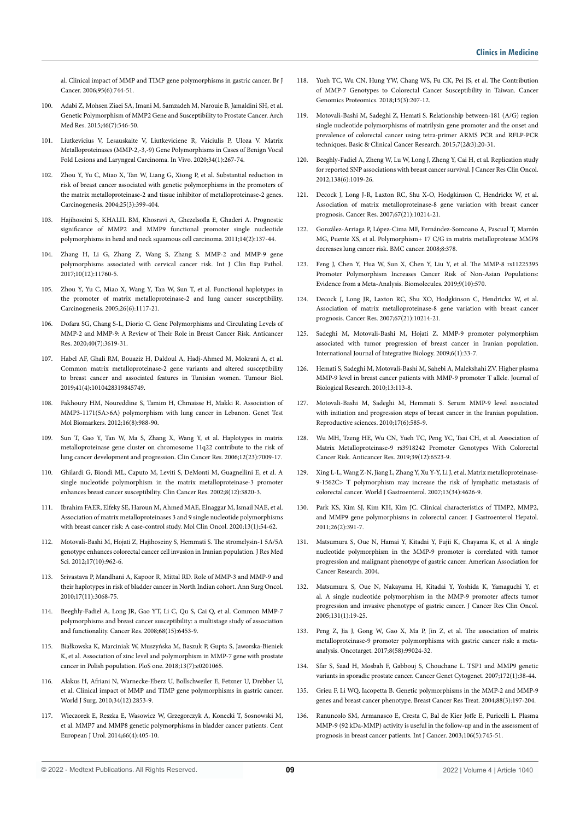al. Clinical impact of MMP and TIMP gene polymorphisms in gastric cancer. Br J Cancer. 2006;95(6):744-51.

- 100. Adabi Z, Mohsen Ziaei SA, Imani M, Samzadeh M, Narouie B, Jamaldini SH, et al. Genetic Polymorphism of MMP2 Gene and Susceptibility to Prostate Cancer. Arch Med Res. 2015;46(7):546-50.
- 101. Liutkevicius V, Lesauskaite V, Liutkeviciene R, Vaiciulis P, Uloza V. Matrix Metalloproteinases (MMP-2,-3,-9) Gene Polymorphisms in Cases of Benign Vocal Fold Lesions and Laryngeal Carcinoma. In Vivo. 2020;34(1):267-74.
- 102. Zhou Y, Yu C, Miao X, Tan W, Liang G, Xiong P, et al. Substantial reduction in risk of breast cancer associated with genetic polymorphisms in the promoters of the matrix metalloproteinase-2 and tissue inhibitor of metalloproteinase-2 genes. Carcinogenesis. 2004;25(3):399-404.
- 103. Hajihoseini S, KHALIL BM, Khosravi A, Ghezelsofla E, Ghaderi A. Prognostic significance of MMP2 and MMP9 functional promoter single nucleotide polymorphisms in head and neck squamous cell carcinoma. 2011;14(2):137-44.
- 104. Zhang H, Li G, Zhang Z, Wang S, Zhang S. MMP-2 and MMP-9 gene polymorphisms associated with cervical cancer risk. Int J Clin Exp Pathol. 2017;10(12):11760-5.
- 105. Zhou Y, Yu C, Miao X, Wang Y, Tan W, Sun T, et al. Functional haplotypes in the promoter of matrix metalloproteinase-2 and lung cancer susceptibility. Carcinogenesis. 2005;26(6):1117-21.
- 106. Dofara SG, Chang S-L, Diorio C. Gene Polymorphisms and Circulating Levels of MMP-2 and MMP-9: A Review of Their Role in Breast Cancer Risk. Anticancer Res. 2020;40(7):3619-31.
- 107. Habel AF, Ghali RM, Bouaziz H, Daldoul A, Hadj-Ahmed M, Mokrani A, et al. Common matrix metalloproteinase-2 gene variants and altered susceptibility to breast cancer and associated features in Tunisian women. Tumour Biol. 2019;41(4):1010428319845749.
- 108. Fakhoury HM, Noureddine S, Tamim H, Chmaisse H, Makki R. Association of MMP3-1171(5A>6A) polymorphism with lung cancer in Lebanon. Genet Test Mol Biomarkers. 2012;16(8):988-90.
- 109. Sun T, Gao Y, Tan W, Ma S, Zhang X, Wang Y, et al. Haplotypes in matrix metalloproteinase gene cluster on chromosome 11q22 contribute to the risk of lung cancer development and progression. Clin Cancer Res. 2006;12(23):7009-17.
- 110. Ghilardi G, Biondi ML, Caputo M, Leviti S, DeMonti M, Guagnellini E, et al. A single nucleotide polymorphism in the matrix metalloproteinase-3 promoter enhances breast cancer susceptibility. Clin Cancer Res. 2002;8(12):3820-3.
- 111. Ibrahim FAER, Elfeky SE, Haroun M, Ahmed MAE, Elnaggar M, Ismail NAE, et al. Association of matrix metalloproteinases 3 and 9 single nucleotide polymorphisms with breast cancer risk: A case-control study. Mol Clin Oncol. 2020;13(1):54-62.
- 112. Motovali-Bashi M, Hojati Z, Hajihoseiny S, Hemmati S. The stromelysin-1 5A/5A genotype enhances colorectal cancer cell invasion in Iranian population. J Res Med Sci. 2012;17(10):962-6.
- 113. Srivastava P, Mandhani A, Kapoor R, Mittal RD. Role of MMP-3 and MMP-9 and their haplotypes in risk of bladder cancer in North Indian cohort. Ann Surg Oncol. 2010;17(11):3068-75.
- 114. Beeghly-Fadiel A, Long JR, Gao YT, Li C, Qu S, Cai Q, et al. Common MMP-7 polymorphisms and breast cancer susceptibility: a multistage study of association and functionality. Cancer Res. 2008;68(15):6453-9.
- 115. Białkowska K, Marciniak W, Muszyńska M, Baszuk P, Gupta S, Jaworska-Bieniek K, et al. Association of zinc level and polymorphism in MMP-7 gene with prostate cancer in Polish population. PloS one. 2018;13(7):e0201065.
- 116. Alakus H, Afriani N, Warnecke-Eberz U, Bollschweiler E, Fetzner U, Drebber U, et al. Clinical impact of MMP and TIMP gene polymorphisms in gastric cancer. World J Surg. 2010;34(12):2853-9.
- 117. Wieczorek E, Reszka E, Wasowicz W, Grzegorczyk A, Konecki T, Sosnowski M, et al. MMP7 and MMP8 genetic polymorphisms in bladder cancer patients. Cent European J Urol. 2014;66(4):405-10.
- 118. Yueh TC, Wu CN, Hung YW, Chang WS, Fu CK, Pei JS, et al. The Contribution of MMP-7 Genotypes to Colorectal Cancer Susceptibility in Taiwan. Cancer Genomics Proteomics. 2018;15(3):207-12.
- 119. Motovali-Bashi M, Sadeghi Z, Hemati S. Relationship between-181 (A/G) region single nucleotide polymorphisms of matrilysin gene promoter and the onset and prevalence of colorectal cancer using tetra-primer ARMS PCR and RFLP-PCR techniques. Basic & Clinical Cancer Research. 2015;7(2&3):20-31.
- 120. Beeghly-Fadiel A, Zheng W, Lu W, Long J, Zheng Y, Cai H, et al. Replication study for reported SNP associations with breast cancer survival. J Cancer Res Clin Oncol. 2012;138(6):1019-26.
- 121. Decock J, Long J-R, Laxton RC, Shu X-O, Hodgkinson C, Hendrickx W, et al. Association of matrix metalloproteinase-8 gene variation with breast cancer prognosis. Cancer Res. 2007;67(21):10214-21.
- 122. González-Arriaga P, López-Cima MF, Fernández-Somoano A, Pascual T, Marrón MG, Puente XS, et al. Polymorphism+ 17 C/G in matrix metalloprotease MMP8 decreases lung cancer risk. BMC cancer. 2008;8:378.
- 123. Feng J, Chen Y, Hua W, Sun X, Chen Y, Liu Y, et al. The MMP-8 rs11225395 Promoter Polymorphism Increases Cancer Risk of Non-Asian Populations: Evidence from a Meta-Analysis. Biomolecules. 2019;9(10):570.
- 124. Decock J, Long JR, Laxton RC, Shu XO, Hodgkinson C, Hendrickx W, et al. Association of matrix metalloproteinase-8 gene variation with breast cancer prognosis. Cancer Res. 2007;67(21):10214-21.
- 125. Sadeghi M, Motovali-Bashi M, Hojati Z. MMP-9 promoter polymorphism associated with tumor progression of breast cancer in Iranian population. International Journal of Integrative Biology. 2009;6(1):33-7.
- 126. Hemati S, Sadeghi M, Motovali-Bashi M, Sahebi A, Malekshahi ZV. Higher plasma MMP-9 level in breast cancer patients with MMP-9 promoter T allele. Journal of Biological Research. 2010;13:113-8.
- 127. Motovali-Bashi M, Sadeghi M, Hemmati S. Serum MMP-9 level associated with initiation and progression steps of breast cancer in the Iranian population. Reproductive sciences. 2010;17(6):585-9.
- 128. Wu MH, Tzeng HE, Wu CN, Yueh TC, Peng YC, Tsai CH, et al. Association of Matrix Metalloproteinase-9 rs3918242 Promoter Genotypes With Colorectal Cancer Risk. Anticancer Res. 2019;39(12):6523-9.
- 129. Xing L-L, Wang Z-N, Jiang L, Zhang Y, Xu Y-Y, Li J, et al. Matrix metalloproteinase-9-1562C> T polymorphism may increase the risk of lymphatic metastasis of colorectal cancer. World J Gastroenterol. 2007;13(34):4626-9.
- 130. Park KS, Kim SJ, Kim KH, Kim JC. Clinical characteristics of TIMP2, MMP2, and MMP9 gene polymorphisms in colorectal cancer. J Gastroenterol Hepatol. 2011;26(2):391-7.
- 131. Matsumura S, Oue N, Hamai Y, Kitadai Y, Fujii K, Chayama K, et al. A single nucleotide polymorphism in the MMP-9 promoter is correlated with tumor progression and malignant phenotype of gastric cancer. American Association for Cancer Research. 2004.
- 132. Matsumura S, Oue N, Nakayama H, Kitadai Y, Yoshida K, Yamaguchi Y, et al. A single nucleotide polymorphism in the MMP-9 promoter affects tumor progression and invasive phenotype of gastric cancer. J Cancer Res Clin Oncol. 2005;131(1):19-25.
- 133. Peng Z, Jia J, Gong W, Gao X, Ma P, Jin Z, et al. The association of matrix metalloproteinase-9 promoter polymorphisms with gastric cancer risk: a metaanalysis. Oncotarget. 2017;8(58):99024-32.
- 134. Sfar S, Saad H, Mosbah F, Gabbouj S, Chouchane L. TSP1 and MMP9 genetic variants in sporadic prostate cancer. Cancer Genet Cytogenet. 2007;172(1):38-44.
- 135. Grieu F, Li WQ, Iacopetta B. Genetic polymorphisms in the MMP-2 and MMP-9 genes and breast cancer phenotype. Breast Cancer Res Treat. 2004;88(3):197-204.
- 136. Ranuncolo SM, Armanasco E, Cresta C, Bal de Kier Joffe E, Puricelli L. Plasma MMP‐9 (92 kDa‐MMP) activity is useful in the follow‐up and in the assessment of prognosis in breast cancer patients. Int J Cancer. 2003;106(5):745-51.